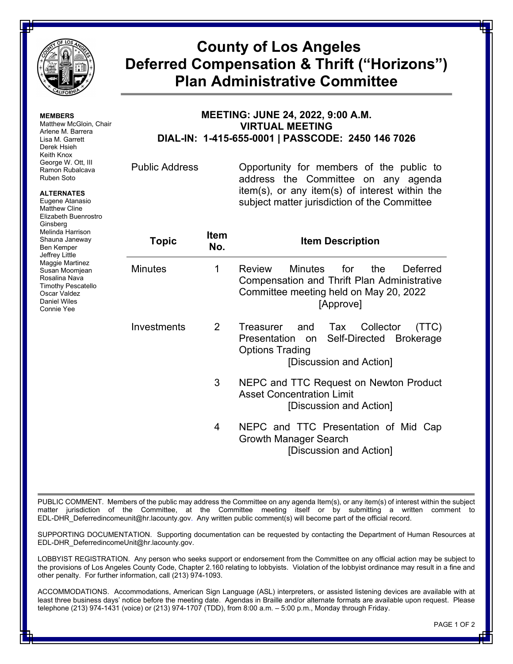

**MEMBERS**

Ginsberg Melinda Harrison Shauna Janeway Ben Kemper Jeffrey Little Maggie Martinez Susan Moomjean Rosalina Nava Timothy Pescatello Oscar Valdez Daniel Wiles Connie Yee

Matthew McGloin, Chair Arlene M. Barrera Lisa M. Garrett Derek Hsieh Keith Knox George W. Ott, III Ramon Rubalcava Ruben Soto **ALTERNATES** Eugene Atanasio Matthew Cline Elizabeth Buenrostro

## **County of Los Angeles Deferred Compensation & Thrift ("Horizons") Plan Administrative Committee**

## **MEETING: JUNE 24, 2022, 9:00 A.M. VIRTUAL MEETING DIAL-IN: 1-415-655-0001 | PASSCODE: 2450 146 7026**

Public Address Opportunity for members of the public to address the Committee on any agenda item(s), or any item(s) of interest within the subject matter jurisdiction of the Committee

| Topic          | <b>Item</b><br>No. | <b>Item Description</b>                                                                                                                            |
|----------------|--------------------|----------------------------------------------------------------------------------------------------------------------------------------------------|
| <b>Minutes</b> | 1                  | <b>Review</b><br>Minutes for the<br>Deferred<br>Compensation and Thrift Plan Administrative<br>Committee meeting held on May 20, 2022<br>[Approve] |
| Investments    | 2                  | Treasurer and Tax Collector<br>(TTC)<br>Presentation on Self-Directed Brokerage<br><b>Options Trading</b><br>[Discussion and Action]               |
|                | 3                  | NEPC and TTC Request on Newton Product<br><b>Asset Concentration Limit</b><br>[Discussion and Action]                                              |
|                | 4                  | NEPC and TTC Presentation of Mid<br>Cap<br>Growth Manager Search<br>[Discussion and Action]                                                        |

PUBLIC COMMENT. Members of the public may address the Committee on any agenda Item(s), or any item(s) of interest within the subject matter jurisdiction of the Committee, at the Committee meeting itself or by submitting a written comment to EDL-DHR\_Deferredincomeunit@hr.lacounty.gov. Any written public comment(s) will become part of the official record.

SUPPORTING DOCUMENTATION. Supporting documentation can be requested by contacting the Department of Human Resources at EDL-DHR\_DeferredincomeUnit@hr.lacounty.gov.

LOBBYIST REGISTRATION. Any person who seeks support or endorsement from the Committee on any official action may be subject to the provisions of Los Angeles County Code, Chapter 2.160 relating to lobbyists. Violation of the lobbyist ordinance may result in a fine and other penalty. For further information, call (213) 974-1093.

ACCOMMODATIONS. Accommodations, American Sign Language (ASL) interpreters, or assisted listening devices are available with at least three business days' notice before the meeting date. Agendas in Braille and/or alternate formats are available upon request. Please telephone (213) 974-1431 (voice) or (213) 974-1707 (TDD), from 8:00 a.m. – 5:00 p.m., Monday through Friday.